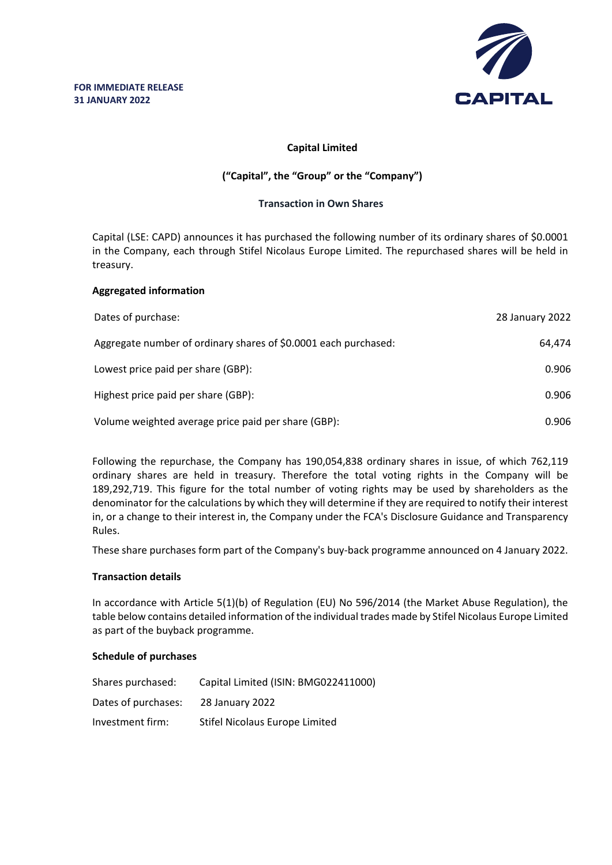

# **Capital Limited**

# **("Capital", the "Group" or the "Company")**

## **Transaction in Own Shares**

Capital (LSE: CAPD) announces it has purchased the following number of its ordinary shares of \$0.0001 in the Company, each through Stifel Nicolaus Europe Limited. The repurchased shares will be held in treasury.

## **Aggregated information**

| Dates of purchase:                                              | 28 January 2022 |
|-----------------------------------------------------------------|-----------------|
| Aggregate number of ordinary shares of \$0.0001 each purchased: | 64.474          |
| Lowest price paid per share (GBP):                              | 0.906           |
| Highest price paid per share (GBP):                             | 0.906           |
| Volume weighted average price paid per share (GBP):             | 0.906           |

Following the repurchase, the Company has 190,054,838 ordinary shares in issue, of which 762,119 ordinary shares are held in treasury. Therefore the total voting rights in the Company will be 189,292,719. This figure for the total number of voting rights may be used by shareholders as the denominator for the calculations by which they will determine if they are required to notify their interest in, or a change to their interest in, the Company under the FCA's Disclosure Guidance and Transparency Rules.

These share purchases form part of the Company's buy-back programme announced on 4 January 2022.

### **Transaction details**

In accordance with Article 5(1)(b) of Regulation (EU) No 596/2014 (the Market Abuse Regulation), the table below contains detailed information of the individual trades made by Stifel Nicolaus Europe Limited as part of the buyback programme.

### **Schedule of purchases**

| Shares purchased:   | Capital Limited (ISIN: BMG022411000) |
|---------------------|--------------------------------------|
| Dates of purchases: | 28 January 2022                      |
| Investment firm:    | Stifel Nicolaus Europe Limited       |